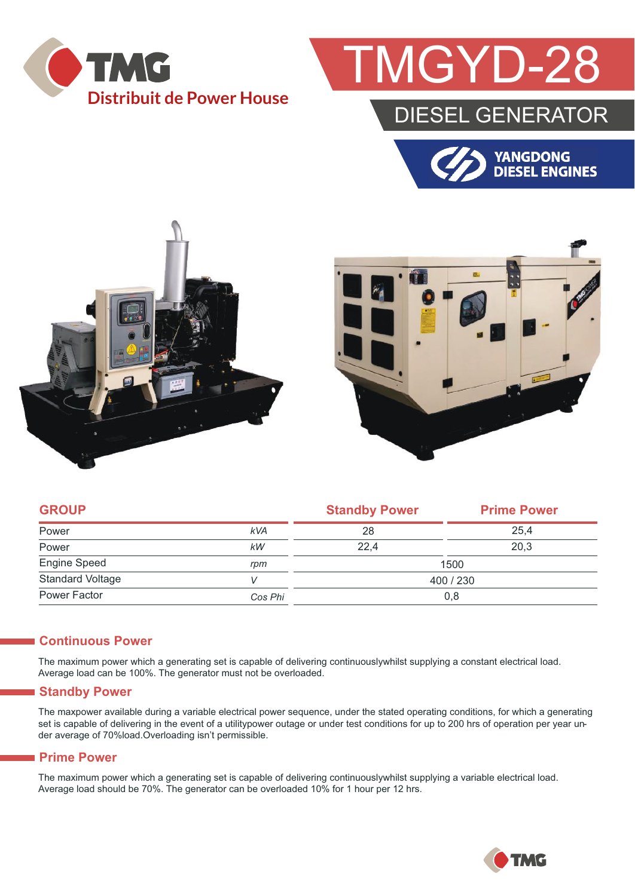

## **GYD-28**

### DIESEL GENERATOR







| <b>GROUP</b>            |            | <b>Standby Power</b> | <b>Prime Power</b> |  |
|-------------------------|------------|----------------------|--------------------|--|
| Power                   | <b>kVA</b> | 28                   | 25.4               |  |
| Power                   | kW         | 22.4                 | 20,3               |  |
| Engine Speed            | rpm        | 1500                 |                    |  |
| <b>Standard Voltage</b> |            | 400 / 230            |                    |  |
| Power Factor            | Cos Phi    | 0,8                  |                    |  |

#### **Continuous Power**

The maximum power which a generating set is capable of delivering continuouslywhilst supplying a constant electrical load. Average load can be 100%. The generator must not be overloaded.

#### **Standby Power**

The maxpower available during a variable electrical power sequence, under the stated operating conditions, for which a generating set is capable of delivering in the event of a utilitypower outage or under test conditions for up to 200 hrs of operation per year under average of 70%load.Overloading isn't permissible.

#### **Prime Power**

The maximum power which a generating set is capable of delivering continuouslywhilst supplying a variable electrical load. Average load should be 70%. The generator can be overloaded 10% for 1 hour per 12 hrs.

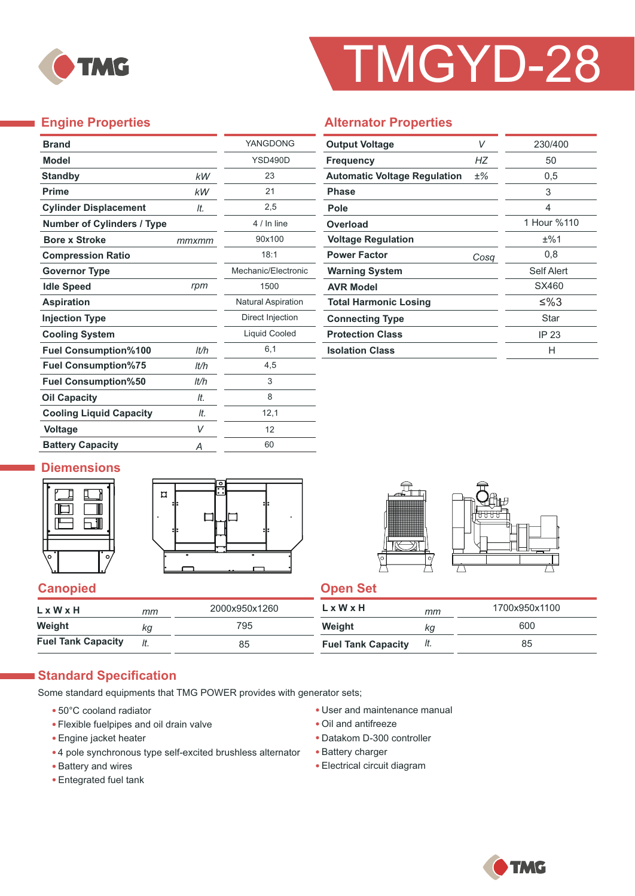

# TMGYD-28

#### **Engine Properties**

÷,

|       | YANGDONG                  |
|-------|---------------------------|
|       | YSD490D                   |
| kW    | 23                        |
| kW    | 21                        |
| It.   | 2,5                       |
|       | 4 / In line               |
| mmxmm | 90x100                    |
|       | 18:1                      |
|       | Mechanic/Flectronic       |
| rpm   | 1500                      |
|       | <b>Natural Aspiration</b> |
|       | Direct Injection          |
|       | <b>Liquid Cooled</b>      |
| lt/h  | 6,1                       |
| lt/h  | 4,5                       |
| lt/h  | 3                         |
| It.   | 8                         |
| It.   | 12,1                      |
| V     | 12                        |
| Α     | 60                        |
|       |                           |

#### **Alternator Properties**

| <b>Output Voltage</b>               | V    | 230/400     |
|-------------------------------------|------|-------------|
| <b>Frequency</b>                    | НZ   | 50          |
| <b>Automatic Voltage Regulation</b> | ±%   | 0,5         |
| <b>Phase</b>                        |      | 3           |
| Pole                                |      | 4           |
| Overload                            |      | 1 Hour %110 |
| <b>Voltage Regulation</b>           |      | ±%1         |
| <b>Power Factor</b>                 | Cosa | 0,8         |
| <b>Warning System</b>               |      | Self Alert  |
| <b>AVR Model</b>                    |      | SX460       |
| <b>Total Harmonic Losing</b>        |      | ≤%3         |
| <b>Connecting Type</b>              |      | Star        |
| <b>Protection Class</b>             |      | IP 23       |
| <b>Isolation Class</b>              |      | н           |

#### **Diemensions**







#### **Canopied Canopied Canopied Canopied Canopied**

| $L \times W \times H$     | mm  | 2000x950x1260 | LxWxH                     | mm  | 1700x950x1100 |
|---------------------------|-----|---------------|---------------------------|-----|---------------|
| Weight                    | ka  | 795           | Weight                    | ΚG  | 600           |
| <b>Fuel Tank Capacity</b> | It. | 85            | <b>Fuel Tank Capacity</b> | It. | 85            |

#### **Standard Specification**

Some standard equipments that TMG POWER provides with generator sets;

- 50°C cooland radiator
- Flexible fuelpipes and oil drain valve
- Engine jacket heater
- 4 pole synchronous type self-excited brushless alternator
- Battery and wires
- Entegrated fuel tank
- User and maintenance manual
- Oil and antifreeze
- Datakom D-300 controller
- Battery charger
- Electrical circuit diagram